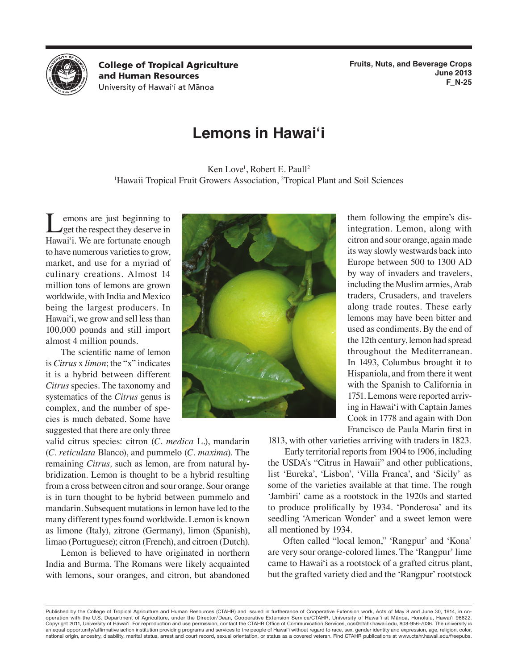

**College of Tropical Agriculture** and Human Resources University of Hawai'i at Mānoa

**Fruits, Nuts, and Beverage Crops June 2013 F\_N-25**

# **Lemons in Hawai'i**

Ken Love<sup>1</sup>, Robert E. Paull<sup>2</sup> <sup>1</sup>Hawaii Tropical Fruit Growers Association, <sup>2</sup>Tropical Plant and Soil Sciences

emons are just beginning to **get the respect they deserve in** Hawai'i. We are fortunate enough to have numerous varieties to grow, market, and use for a myriad of culinary creations. Almost 14 million tons of lemons are grown worldwide, with India and Mexico being the largest producers. In Hawai'i, we grow and sell less than 100,000 pounds and still import almost 4 million pounds.

The scientific name of lemon is *Citrus* x *limon*; the "x" indicates it is a hybrid between different *Citrus* species. The taxonomy and systematics of the *Citrus* genus is complex, and the number of species is much debated. Some have suggested that there are only three

valid citrus species: citron (*C. medica* L.), mandarin (*C. reticulata* Blanco), and pummelo (*C. maxima*). The remaining *Citrus,* such as lemon, are from natural hybridization. Lemon is thought to be a hybrid resulting from a cross between citron and sour orange. Sour orange is in turn thought to be hybrid between pummelo and mandarin. Subsequent mutations in lemon have led to the many different types found worldwide. Lemon is known as limone (Italy), zitrone (Germany), limon (Spanish), limao (Portuguese); citron (French), and citroen (Dutch).

Lemon is believed to have originated in northern India and Burma. The Romans were likely acquainted with lemons, sour oranges, and citron, but abandoned



them following the empire's disintegration. Lemon, along with citron and sour orange, again made its way slowly westwards back into Europe between 500 to 1300 AD by way of invaders and travelers, including the Muslim armies, Arab traders, Crusaders, and travelers along trade routes. These early lemons may have been bitter and used as condiments. By the end of the 12th century, lemon had spread throughout the Mediterranean. In 1493, Columbus brought it to Hispaniola, and from there it went with the Spanish to California in 1751. Lemons were reported arriving in Hawai'i with Captain James Cook in 1778 and again with Don Francisco de Paula Marin first in

1813, with other varieties arriving with traders in 1823.

 Early territorial reports from 1904 to 1906, including the USDA's "Citrus in Hawaii" and other publications, list 'Eureka', 'Lisbon', 'Villa Franca', and 'Sicily' as some of the varieties available at that time. The rough 'Jambiri' came as a rootstock in the 1920s and started to produce prolifically by 1934. 'Ponderosa' and its seedling 'American Wonder' and a sweet lemon were all mentioned by 1934.

Often called "local lemon," 'Rangpur' and 'Kona' are very sour orange-colored limes. The 'Rangpur' lime came to Hawai'i as a rootstock of a grafted citrus plant, but the grafted variety died and the 'Rangpur' rootstock

Published by the College of Tropical Agriculture and Human Resources (CTAHR) and issued in furtherance of Cooperative Extension work, Acts of May 8 and June 30, 1914, in cooperation with the U.S. Department of Agriculture, under the Director/Dean, Cooperative Extension Service/CTAHR, University of Hawai'i at Mānoa, Honolulu, Hawai'i 96822. Copyright 2011, University of Hawai'i. For reproduction and use permission, contact the CTAHR Office of Communication Services, ocs@ctahr.hawaii.edu, 808-956-7036. The university is an equal opportunity/affirmative action institution providing programs and services to the people of Hawai'i without regard to race, sex, gender identity and expression, age, religion, color, national origin, ancestry, disability, marital status, arrest and court record, sexual orientation, or status as a covered veteran. Find CTAHR publications at www.ctahr.hawaii.edu/freepubs.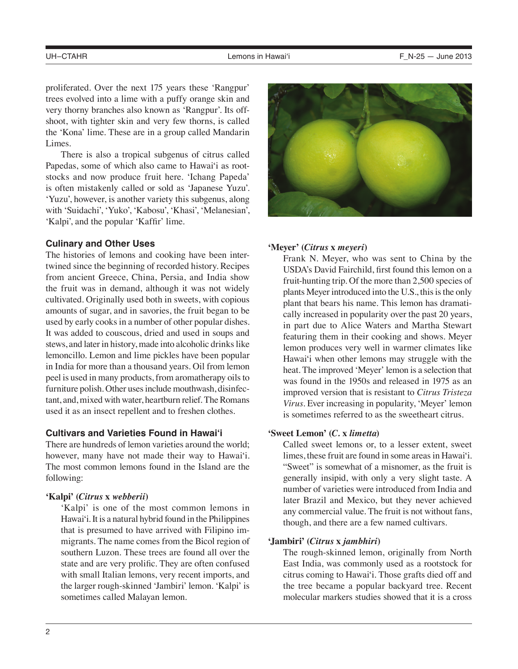proliferated. Over the next 175 years these 'Rangpur' trees evolved into a lime with a puffy orange skin and very thorny branches also known as 'Rangpur'. Its offshoot, with tighter skin and very few thorns, is called the 'Kona' lime. These are in a group called Mandarin Limes.

There is also a tropical subgenus of citrus called Papedas, some of which also came to Hawai'i as rootstocks and now produce fruit here. 'Ichang Papeda' is often mistakenly called or sold as 'Japanese Yuzu'. 'Yuzu', however, is another variety this subgenus, along with 'Suidachi', 'Yuko', 'Kabosu', 'Khasi', 'Melanesian', 'Kalpi', and the popular 'Kaffir' lime.

## **Culinary and Other Uses**

The histories of lemons and cooking have been intertwined since the beginning of recorded history. Recipes from ancient Greece, China, Persia, and India show the fruit was in demand, although it was not widely cultivated. Originally used both in sweets, with copious amounts of sugar, and in savories, the fruit began to be used by early cooks in a number of other popular dishes. It was added to couscous, dried and used in soups and stews, and later in history, made into alcoholic drinks like lemoncillo. Lemon and lime pickles have been popular in India for more than a thousand years. Oil from lemon peel is used in many products, from aromatherapy oils to furniture polish. Other uses include mouthwash, disinfectant, and, mixed with water, heartburn relief. The Romans used it as an insect repellent and to freshen clothes.

## **Cultivars and Varieties Found in Hawai'i**

There are hundreds of lemon varieties around the world; however, many have not made their way to Hawai'i. The most common lemons found in the Island are the following:

## **'Kalpi' (***Citrus* **x** *webberii***)**

'Kalpi' is one of the most common lemons in Hawai'i. It is a natural hybrid found in the Philippines that is presumed to have arrived with Filipino immigrants. The name comes from the Bicol region of southern Luzon. These trees are found all over the state and are very prolific. They are often confused with small Italian lemons, very recent imports, and the larger rough-skinned 'Jambiri' lemon. 'Kalpi' is sometimes called Malayan lemon.



## **'Meyer' (***Citrus* **x** *meyeri***)**

Frank N. Meyer, who was sent to China by the USDA's David Fairchild, first found this lemon on a fruit-hunting trip. Of the more than 2,500 species of plants Meyer introduced into the U.S., this is the only plant that bears his name. This lemon has dramatically increased in popularity over the past 20 years, in part due to Alice Waters and Martha Stewart featuring them in their cooking and shows. Meyer lemon produces very well in warmer climates like Hawai'i when other lemons may struggle with the heat. The improved 'Meyer' lemon is a selection that was found in the 1950s and released in 1975 as an improved version that is resistant to *Citrus Tristeza Virus*. Ever increasing in popularity, 'Meyer' lemon is sometimes referred to as the sweetheart citrus.

## **'Sweet Lemon' (***C.* **x** *limetta***)**

Called sweet lemons or, to a lesser extent, sweet limes, these fruit are found in some areas in Hawai'i. "Sweet" is somewhat of a misnomer, as the fruit is generally insipid, with only a very slight taste. A number of varieties were introduced from India and later Brazil and Mexico, but they never achieved any commercial value. The fruit is not without fans, though, and there are a few named cultivars.

## **'Jambiri' (***Citrus* **x** *jambhiri***)**

The rough-skinned lemon, originally from North East India, was commonly used as a rootstock for citrus coming to Hawai'i. Those grafts died off and the tree became a popular backyard tree. Recent molecular markers studies showed that it is a cross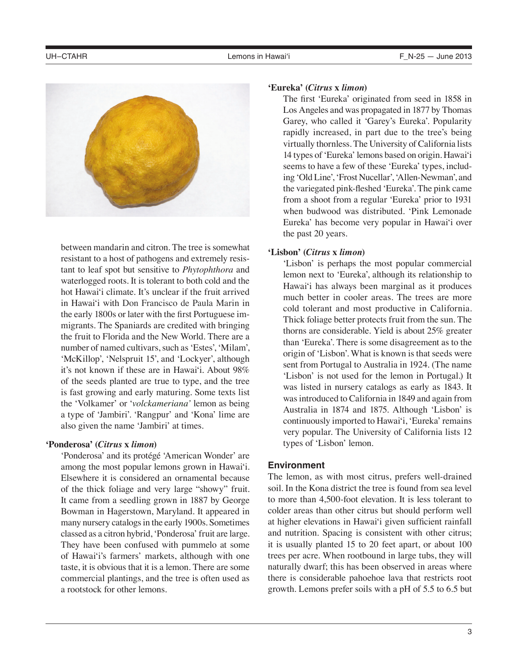

between mandarin and citron. The tree is somewhat resistant to a host of pathogens and extremely resistant to leaf spot but sensitive to *Phytophthora* and waterlogged roots. It is tolerant to both cold and the hot Hawai'i climate. It's unclear if the fruit arrived in Hawai'i with Don Francisco de Paula Marin in the early 1800s or later with the first Portuguese immigrants. The Spaniards are credited with bringing the fruit to Florida and the New World. There are a number of named cultivars, such as 'Estes', 'Milam', 'McKillop', 'Nelspruit 15', and 'Lockyer', although it's not known if these are in Hawai'i. About 98% of the seeds planted are true to type, and the tree is fast growing and early maturing. Some texts list the 'Volkamer' or '*volckameriana'* lemon as being a type of 'Jambiri'. 'Rangpur' and 'Kona' lime are also given the name 'Jambiri' at times.

# **'Ponderosa' (***Citrus* **x** *limon***)**

'Ponderosa' and its protégé 'American Wonder' are among the most popular lemons grown in Hawai'i. Elsewhere it is considered an ornamental because of the thick foliage and very large "showy" fruit. It came from a seedling grown in 1887 by George Bowman in Hagerstown, Maryland. It appeared in many nursery catalogs in the early 1900s. Sometimes classed as a citron hybrid, 'Ponderosa' fruit are large. They have been confused with pummelo at some of Hawai'i's farmers' markets, although with one taste, it is obvious that it is a lemon. There are some commercial plantings, and the tree is often used as a rootstock for other lemons.

## **'Eureka' (***Citrus* **x** *limon***)**

The first 'Eureka' originated from seed in 1858 in Los Angeles and was propagated in 1877 by Thomas Garey, who called it 'Garey's Eureka'. Popularity rapidly increased, in part due to the tree's being virtually thornless. The University of California lists 14 types of 'Eureka' lemons based on origin. Hawai'i seems to have a few of these 'Eureka' types, including 'Old Line', 'Frost Nucellar', 'Allen-Newman', and the variegated pink-fleshed 'Eureka'. The pink came from a shoot from a regular 'Eureka' prior to 1931 when budwood was distributed. 'Pink Lemonade Eureka' has become very popular in Hawai'i over the past 20 years.

# **'Lisbon' (***Citrus* **x** *limon***)**

'Lisbon' is perhaps the most popular commercial lemon next to 'Eureka', although its relationship to Hawai'i has always been marginal as it produces much better in cooler areas. The trees are more cold tolerant and most productive in California. Thick foliage better protects fruit from the sun. The thorns are considerable. Yield is about 25% greater than 'Eureka'. There is some disagreement as to the origin of 'Lisbon'. What is known is that seeds were sent from Portugal to Australia in 1924. (The name 'Lisbon' is not used for the lemon in Portugal.) It was listed in nursery catalogs as early as 1843. It was introduced to California in 1849 and again from Australia in 1874 and 1875. Although 'Lisbon' is continuously imported to Hawai'i, 'Eureka' remains very popular. The University of California lists 12 types of 'Lisbon' lemon.

# **Environment**

The lemon, as with most citrus, prefers well-drained soil. In the Kona district the tree is found from sea level to more than 4,500-foot elevation. It is less tolerant to colder areas than other citrus but should perform well at higher elevations in Hawai'i given sufficient rainfall and nutrition. Spacing is consistent with other citrus; it is usually planted 15 to 20 feet apart, or about 100 trees per acre. When rootbound in large tubs, they will naturally dwarf; this has been observed in areas where there is considerable pahoehoe lava that restricts root growth. Lemons prefer soils with a pH of 5.5 to 6.5 but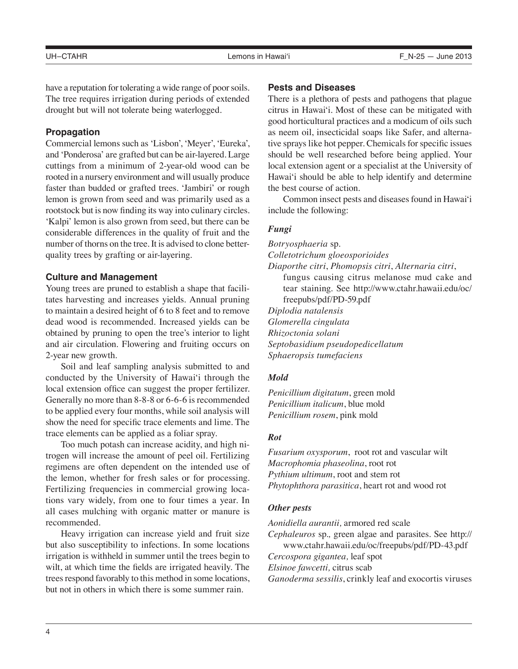have a reputation for tolerating a wide range of poor soils. The tree requires irrigation during periods of extended drought but will not tolerate being waterlogged.

# **Propagation**

Commercial lemons such as 'Lisbon', 'Meyer', 'Eureka', and 'Ponderosa' are grafted but can be air-layered. Large cuttings from a minimum of 2-year-old wood can be rooted in a nursery environment and will usually produce faster than budded or grafted trees. 'Jambiri' or rough lemon is grown from seed and was primarily used as a rootstock but is now finding its way into culinary circles. 'Kalpi' lemon is also grown from seed, but there can be considerable differences in the quality of fruit and the number of thorns on the tree. It is advised to clone betterquality trees by grafting or air-layering.

## **Culture and Management**

Young trees are pruned to establish a shape that facilitates harvesting and increases yields. Annual pruning to maintain a desired height of 6 to 8 feet and to remove dead wood is recommended. Increased yields can be obtained by pruning to open the tree's interior to light and air circulation. Flowering and fruiting occurs on 2-year new growth.

Soil and leaf sampling analysis submitted to and conducted by the University of Hawai'i through the local extension office can suggest the proper fertilizer. Generally no more than 8-8-8 or 6-6-6 is recommended to be applied every four months, while soil analysis will show the need for specific trace elements and lime. The trace elements can be applied as a foliar spray.

Too much potash can increase acidity, and high nitrogen will increase the amount of peel oil. Fertilizing regimens are often dependent on the intended use of the lemon, whether for fresh sales or for processing. Fertilizing frequencies in commercial growing locations vary widely, from one to four times a year. In all cases mulching with organic matter or manure is recommended.

Heavy irrigation can increase yield and fruit size but also susceptibility to infections. In some locations irrigation is withheld in summer until the trees begin to wilt, at which time the fields are irrigated heavily. The trees respond favorably to this method in some locations, but not in others in which there is some summer rain.

#### **Pests and Diseases**

There is a plethora of pests and pathogens that plague citrus in Hawai'i. Most of these can be mitigated with good horticultural practices and a modicum of oils such as neem oil, insecticidal soaps like Safer, and alternative sprays like hot pepper. Chemicals for specific issues should be well researched before being applied. Your local extension agent or a specialist at the University of Hawai'i should be able to help identify and determine the best course of action.

Common insect pests and diseases found in Hawai'i include the following:

#### *Fungi*

*Botryosphaeria* sp. *Colletotrichum gloeosporioides Diaporthe citri*, *Phomopsis citri*, *Alternaria citri*, fungus causing citrus melanose mud cake and tear staining. See http://www.ctahr.hawaii.edu/oc/ freepubs/pdf/PD-59.pdf *Diplodia natalensis Glomerella cingulata Rhizoctonia solani Septobasidium pseudopedicellatum Sphaeropsis tumefaciens*

## *Mold*

*Penicillium digitatum*, green mold *Penicillium italicum*, blue mold *Penicillium rosem*, pink mold

# *Rot*

*Fusarium oxysporum*, root rot and vascular wilt *Macrophomia phaseolina*, root rot *Pythium ultimum*, root and stem rot *Phytophthora parasitica*, heart rot and wood rot

#### *Other pests*

*Aonidiella aurantii,* armored red scale

*Cephaleuros* sp.*,* green algae and parasites. See http://

www.ctahr.hawaii.edu/oc/freepubs/pdf/PD-43.pdf

*Cercospora gigantea,* leaf spot

*Elsinoe fawcetti,* citrus scab

*Ganoderma sessilis*, crinkly leaf and exocortis viruses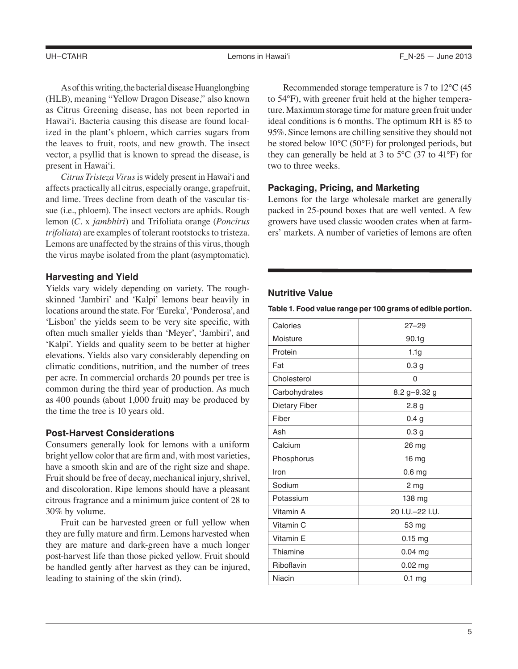As of this writing, the bacterial disease Huanglongbing (HLB), meaning "Yellow Dragon Disease," also known as Citrus Greening disease, has not been reported in Hawai'i. Bacteria causing this disease are found localized in the plant's phloem, which carries sugars from the leaves to fruit, roots, and new growth. The insect vector, a psyllid that is known to spread the disease, is present in Hawai'i.

*Citrus Tristeza Virus* is widely present in Hawai'i and affects practically all citrus, especially orange, grapefruit, and lime. Trees decline from death of the vascular tissue (i.e., phloem). The insect vectors are aphids. Rough lemon (*C.* x *jambhiri*) and Trifoliata orange (*Poncirus trifoliata*) are examples of tolerant rootstocks to tristeza. Lemons are unaffected by the strains of this virus, though the virus maybe isolated from the plant (asymptomatic).

# **Harvesting and Yield**

Yields vary widely depending on variety. The roughskinned 'Jambiri' and 'Kalpi' lemons bear heavily in locations around the state. For 'Eureka', 'Ponderosa', and 'Lisbon' the yields seem to be very site specific, with often much smaller yields than 'Meyer', 'Jambiri', and 'Kalpi'. Yields and quality seem to be better at higher elevations. Yields also vary considerably depending on climatic conditions, nutrition, and the number of trees per acre. In commercial orchards 20 pounds per tree is common during the third year of production. As much as 400 pounds (about 1,000 fruit) may be produced by the time the tree is 10 years old.

## **Post-Harvest Considerations**

Consumers generally look for lemons with a uniform bright yellow color that are firm and, with most varieties, have a smooth skin and are of the right size and shape. Fruit should be free of decay, mechanical injury, shrivel, and discoloration. Ripe lemons should have a pleasant citrous fragrance and a minimum juice content of 28 to 30% by volume.

Fruit can be harvested green or full yellow when they are fully mature and firm. Lemons harvested when they are mature and dark-green have a much longer post-harvest life than those picked yellow. Fruit should be handled gently after harvest as they can be injured, leading to staining of the skin (rind).

Recommended storage temperature is 7 to 12°C (45 to 54°F), with greener fruit held at the higher temperature. Maximum storage time for mature green fruit under ideal conditions is 6 months. The optimum RH is 85 to 95%. Since lemons are chilling sensitive they should not be stored below 10°C (50°F) for prolonged periods, but they can generally be held at 3 to  $5^{\circ}$ C (37 to 41<sup>o</sup>F) for two to three weeks.

## **Packaging, Pricing, and Marketing**

Lemons for the large wholesale market are generally packed in 25-pound boxes that are well vented. A few growers have used classic wooden crates when at farmers' markets. A number of varieties of lemons are often

# **Nutritive Value**

**Table 1. Food value range per 100 grams of edible portion.**

| Calories      | $27 - 29$         |
|---------------|-------------------|
| Moisture      | 90.1g             |
| Protein       | 1.1 <sub>g</sub>  |
| Fat           | 0.3 <sub>g</sub>  |
| Cholesterol   | 0                 |
| Carbohydrates | 8.2 g-9.32 g      |
| Dietary Fiber | 2.8 <sub>g</sub>  |
| Fiber         | 0.4 <sub>g</sub>  |
| Ash           | 0.3 <sub>g</sub>  |
| Calcium       | 26 mg             |
| Phosphorus    | 16 mg             |
| Iron          | 0.6 <sub>mg</sub> |
| Sodium        | 2 mg              |
| Potassium     | 138 mg            |
| Vitamin A     | 20 I.U.-22 I.U.   |
| Vitamin C     | 53 mg             |
| Vitamin E     | $0.15$ mg         |
| Thiamine      | 0.04 mg           |
| Riboflavin    | $0.02$ mg         |
| Niacin        | $0.1$ mg          |